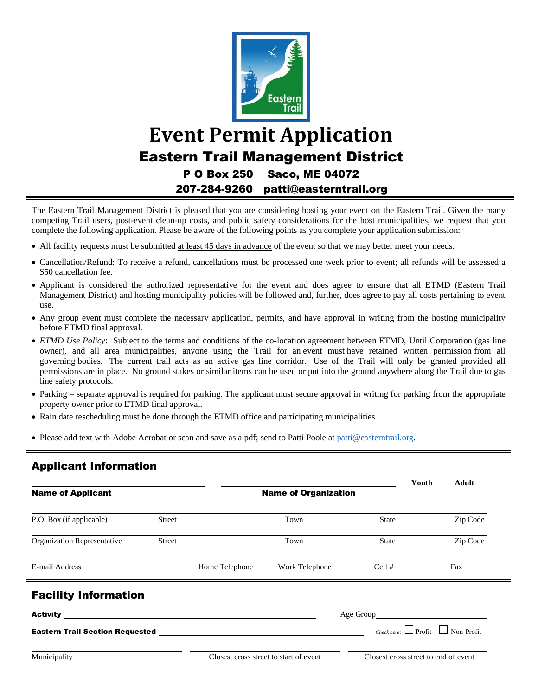

# **Event Permit Application** Eastern Trail Management District P O Box 250 Saco, ME 04072 207-284-9260 patti@easterntrail.org

The Eastern Trail Management District is pleased that you are considering hosting your event on the Eastern Trail. Given the many competing Trail users, post-event clean-up costs, and public safety considerations for the host municipalities, we request that you complete the following application. Please be aware of the following points as you complete your application submission:

- All facility requests must be submitted at least 45 days in advance of the event so that we may better meet your needs.
- Cancellation/Refund: To receive a refund, cancellations must be processed one week prior to event; all refunds will be assessed a \$50 cancellation fee.
- Applicant is considered the authorized representative for the event and does agree to ensure that all ETMD (Eastern Trail Management District) and hosting municipality policies will be followed and, further, does agree to pay all costs pertaining to event use.
- Any group event must complete the necessary application, permits, and have approval in writing from the hosting municipality before ETMD final approval.
- *ETMD Use Policy*: Subject to the terms and conditions of the co-location agreement between ETMD, Until Corporation (gas line owner), and all area municipalities, anyone using the Trail for an event must have retained written permission from all governing bodies. The current trail acts as an active gas line corridor. Use of the Trail will only be granted provided all permissions are in place. No ground stakes or similar items can be used or put into the ground anywhere along the Trail due to gas line safety protocols.
- Parking separate approval is required for parking. The applicant must secure approval in writing for parking from the appropriate property owner prior to ETMD final approval.
- Rain date rescheduling must be done through the ETMD office and participating municipalities.
- Please add text with Adobe Acrobat or scan and save as a pdf; send to Patti Poole a[t patti@easterntrail.org.](mailto:patti@easterntrail.org)

# Applicant Information

|                                                                                                                       |               |                                        |                |              | Youth<br>Adult                       |
|-----------------------------------------------------------------------------------------------------------------------|---------------|----------------------------------------|----------------|--------------|--------------------------------------|
| <b>Name of Applicant</b>                                                                                              |               | <b>Name of Organization</b>            |                |              |                                      |
| P.O. Box (if applicable)                                                                                              | <b>Street</b> |                                        | Town           | <b>State</b> | Zip Code                             |
| Organization Representative                                                                                           | <b>Street</b> |                                        | Town           | <b>State</b> | Zip Code                             |
| E-mail Address                                                                                                        |               | Home Telephone                         | Work Telephone | Cell #       | Fax                                  |
| <b>Facility Information</b>                                                                                           |               |                                        |                |              |                                      |
| <b>Activity</b> and the settlement of the settlement of the settlement of the settlement of the settlement of the set |               |                                        |                |              |                                      |
| <b>Eastern Trail Section Requested Eastern Trail Section</b>                                                          |               |                                        |                |              |                                      |
| Municipality                                                                                                          |               | Closest cross street to start of event |                |              | Closest cross street to end of event |